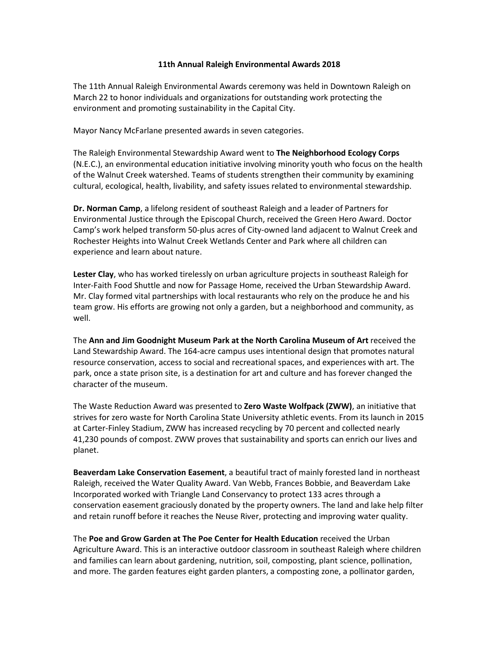## **11th Annual Raleigh Environmental Awards 2018**

The 11th Annual Raleigh Environmental Awards ceremony was held in Downtown Raleigh on March 22 to honor individuals and organizations for outstanding work protecting the environment and promoting sustainability in the Capital City.

Mayor Nancy McFarlane presented awards in seven categories.

The Raleigh Environmental Stewardship Award went to **The Neighborhood Ecology Corps**  (N.E.C.), an environmental education initiative involving minority youth who focus on the health of the Walnut Creek watershed. Teams of students strengthen their community by examining cultural, ecological, health, livability, and safety issues related to environmental stewardship.

**Dr. Norman Camp**, a lifelong resident of southeast Raleigh and a leader of Partners for Environmental Justice through the Episcopal Church, received the Green Hero Award. Doctor Camp's work helped transform 50-plus acres of City-owned land adjacent to Walnut Creek and Rochester Heights into Walnut Creek Wetlands Center and Park where all children can experience and learn about nature.

**Lester Clay**, who has worked tirelessly on urban agriculture projects in southeast Raleigh for Inter-Faith Food Shuttle and now for Passage Home, received the Urban Stewardship Award. Mr. Clay formed vital partnerships with local restaurants who rely on the produce he and his team grow. His efforts are growing not only a garden, but a neighborhood and community, as well.

The **Ann and Jim Goodnight Museum Park at the North Carolina Museum of Art** received the Land Stewardship Award. The 164-acre campus uses intentional design that promotes natural resource conservation, access to social and recreational spaces, and experiences with art. The park, once a state prison site, is a destination for art and culture and has forever changed the character of the museum.

The Waste Reduction Award was presented to **Zero Waste Wolfpack (ZWW)**, an initiative that strives for zero waste for North Carolina State University athletic events. From its launch in 2015 at Carter-Finley Stadium, ZWW has increased recycling by 70 percent and collected nearly 41,230 pounds of compost. ZWW proves that sustainability and sports can enrich our lives and planet.

**Beaverdam Lake Conservation Easement**, a beautiful tract of mainly forested land in northeast Raleigh, received the Water Quality Award. Van Webb, Frances Bobbie, and Beaverdam Lake Incorporated worked with Triangle Land Conservancy to protect 133 acres through a conservation easement graciously donated by the property owners. The land and lake help filter and retain runoff before it reaches the Neuse River, protecting and improving water quality.

The **Poe and Grow Garden at The Poe Center for Health Education** received the Urban Agriculture Award. This is an interactive outdoor classroom in southeast Raleigh where children and families can learn about gardening, nutrition, soil, composting, plant science, pollination, and more. The garden features eight garden planters, a composting zone, a pollinator garden,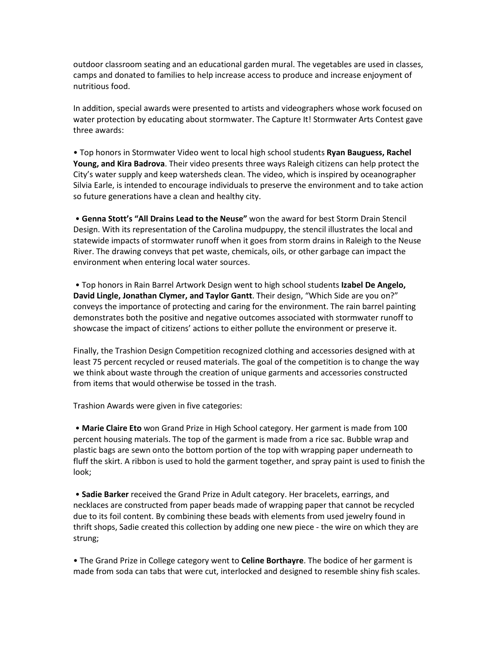outdoor classroom seating and an educational garden mural. The vegetables are used in classes, camps and donated to families to help increase access to produce and increase enjoyment of nutritious food.

In addition, special awards were presented to artists and videographers whose work focused on water protection by educating about stormwater. The Capture It! Stormwater Arts Contest gave three awards:

• Top honors in Stormwater Video went to local high school students **Ryan Bauguess, Rachel Young, and Kira Badrova**. Their video presents three ways Raleigh citizens can help protect the City's water supply and keep watersheds clean. The video, which is inspired by oceanographer Silvia Earle, is intended to encourage individuals to preserve the environment and to take action so future generations have a clean and healthy city.

• **Genna Stott's "All Drains Lead to the Neuse"** won the award for best Storm Drain Stencil Design. With its representation of the Carolina mudpuppy, the stencil illustrates the local and statewide impacts of stormwater runoff when it goes from storm drains in Raleigh to the Neuse River. The drawing conveys that pet waste, chemicals, oils, or other garbage can impact the environment when entering local water sources.

• Top honors in Rain Barrel Artwork Design went to high school students **Izabel De Angelo, David Lingle, Jonathan Clymer, and Taylor Gantt**. Their design, "Which Side are you on?" conveys the importance of protecting and caring for the environment. The rain barrel painting demonstrates both the positive and negative outcomes associated with stormwater runoff to showcase the impact of citizens' actions to either pollute the environment or preserve it.

Finally, the Trashion Design Competition recognized clothing and accessories designed with at least 75 percent recycled or reused materials. The goal of the competition is to change the way we think about waste through the creation of unique garments and accessories constructed from items that would otherwise be tossed in the trash.

Trashion Awards were given in five categories:

• **Marie Claire Eto** won Grand Prize in High School category. Her garment is made from 100 percent housing materials. The top of the garment is made from a rice sac. Bubble wrap and plastic bags are sewn onto the bottom portion of the top with wrapping paper underneath to fluff the skirt. A ribbon is used to hold the garment together, and spray paint is used to finish the look;

• **Sadie Barker** received the Grand Prize in Adult category. Her bracelets, earrings, and necklaces are constructed from paper beads made of wrapping paper that cannot be recycled due to its foil content. By combining these beads with elements from used jewelry found in thrift shops, Sadie created this collection by adding one new piece - the wire on which they are strung;

• The Grand Prize in College category went to **Celine Borthayre**. The bodice of her garment is made from soda can tabs that were cut, interlocked and designed to resemble shiny fish scales.